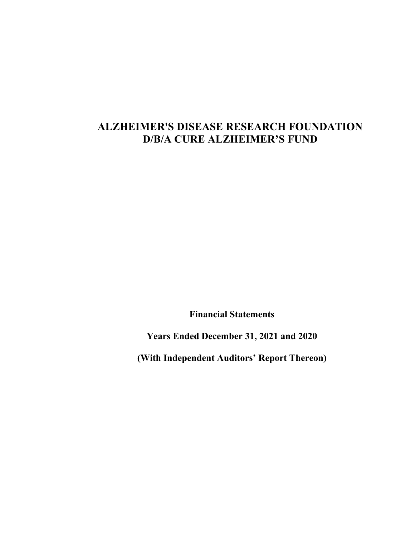# **ALZHEIMER'S DISEASE RESEARCH FOUNDATION D/B/A CURE ALZHEIMER'S FUND**

**Financial Statements**

**Years Ended December 31, 2021 and 2020**

**(With Independent Auditors' Report Thereon)**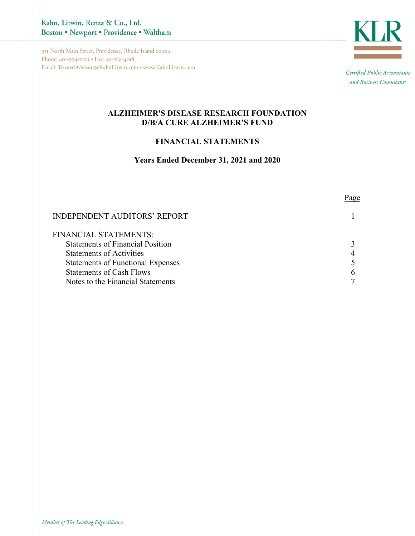Kahn, Litwin, Renza & Co., Ltd. Boston . Newport . Providence . Waltham

951 North Main Street, Providence, Rhode Island 02904 Phone: 401-274-2001 · Fax: 401-831-4018 Email: TrustedAdvisors@KahnLitwin.com • www.KahnLitwin.com



Certified Public Accountants and Business Consultants

Page

### **ALZHEIMER'S DISEASE RESEARCH FOUNDATION D/B/A CURE ALZHEIMER'S FUND**

### **FINANCIAL STATEMENTS**

### **Years Ended December 31, 2021 and 2020**

| INDEPENDENT AUDITORS' REPORT |  |
|------------------------------|--|
| FINANCIAL STATEMENTS:        |  |

| FINANCIAL STATEMENTS:                    |   |
|------------------------------------------|---|
| <b>Statements of Financial Position</b>  |   |
| <b>Statements of Activities</b>          |   |
| <b>Statements of Functional Expenses</b> |   |
| <b>Statements of Cash Flows</b>          |   |
| Notes to the Financial Statements        | 7 |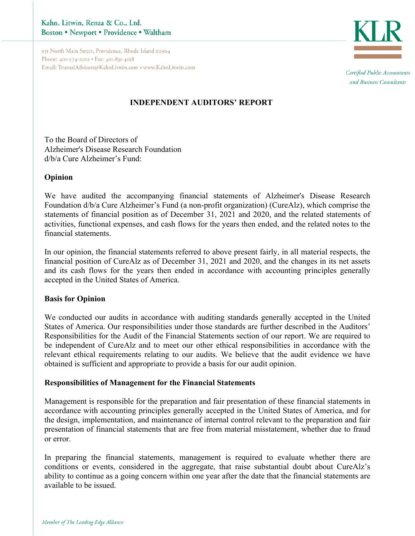951 North Main Street, Providence, Rhode Island 02904 Phone: 401-274-2001 • Fax: 401-831-4018 Email: TrustedAdvisors@KahnLitwin.com • www.KahnLitwin.com



Certified Public Accountants and Business Consultants

# **INDEPENDENT AUDITORS' REPORT**

To the Board of Directors of Alzheimer's Disease Research Foundation d/b/a Cure Alzheimer's Fund:

### **Opinion**

We have audited the accompanying financial statements of Alzheimer's Disease Research Foundation d/b/a Cure Alzheimer's Fund (a non-profit organization) (CureAlz), which comprise the statements of financial position as of December 31, 2021 and 2020, and the related statements of activities, functional expenses, and cash flows for the years then ended, and the related notes to the financial statements.

In our opinion, the financial statements referred to above present fairly, in all material respects, the financial position of CureAlz as of December 31, 2021 and 2020, and the changes in its net assets and its cash flows for the years then ended in accordance with accounting principles generally accepted in the United States of America.

### **Basis for Opinion**

We conducted our audits in accordance with auditing standards generally accepted in the United States of America. Our responsibilities under those standards are further described in the Auditors' Responsibilities for the Audit of the Financial Statements section of our report. We are required to be independent of CureAlz and to meet our other ethical responsibilities in accordance with the relevant ethical requirements relating to our audits. We believe that the audit evidence we have obtained is sufficient and appropriate to provide a basis for our audit opinion.

### **Responsibilities of Management for the Financial Statements**

Management is responsible for the preparation and fair presentation of these financial statements in accordance with accounting principles generally accepted in the United States of America, and for the design, implementation, and maintenance of internal control relevant to the preparation and fair presentation of financial statements that are free from material misstatement, whether due to fraud or error.

In preparing the financial statements, management is required to evaluate whether there are conditions or events, considered in the aggregate, that raise substantial doubt about CureAlz's ability to continue as a going concern within one year after the date that the financial statements are available to be issued.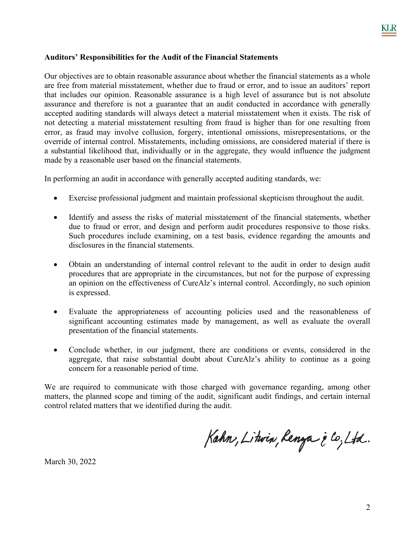### **Auditors' Responsibilities for the Audit of the Financial Statements**

Our objectives are to obtain reasonable assurance about whether the financial statements as a whole are free from material misstatement, whether due to fraud or error, and to issue an auditors' report that includes our opinion. Reasonable assurance is a high level of assurance but is not absolute assurance and therefore is not a guarantee that an audit conducted in accordance with generally accepted auditing standards will always detect a material misstatement when it exists. The risk of not detecting a material misstatement resulting from fraud is higher than for one resulting from error, as fraud may involve collusion, forgery, intentional omissions, misrepresentations, or the override of internal control. Misstatements, including omissions, are considered material if there is a substantial likelihood that, individually or in the aggregate, they would influence the judgment made by a reasonable user based on the financial statements.

In performing an audit in accordance with generally accepted auditing standards, we:

- Exercise professional judgment and maintain professional skepticism throughout the audit.
- Identify and assess the risks of material misstatement of the financial statements, whether due to fraud or error, and design and perform audit procedures responsive to those risks. Such procedures include examining, on a test basis, evidence regarding the amounts and disclosures in the financial statements.
- Obtain an understanding of internal control relevant to the audit in order to design audit procedures that are appropriate in the circumstances, but not for the purpose of expressing an opinion on the effectiveness of CureAlz's internal control. Accordingly, no such opinion is expressed.
- Evaluate the appropriateness of accounting policies used and the reasonableness of significant accounting estimates made by management, as well as evaluate the overall presentation of the financial statements.
- Conclude whether, in our judgment, there are conditions or events, considered in the aggregate, that raise substantial doubt about CureAlz's ability to continue as a going concern for a reasonable period of time.

We are required to communicate with those charged with governance regarding, among other matters, the planned scope and timing of the audit, significant audit findings, and certain internal control related matters that we identified during the audit.

Kahn, Litwin, Renya è Co., Ltd.

March 30, 2022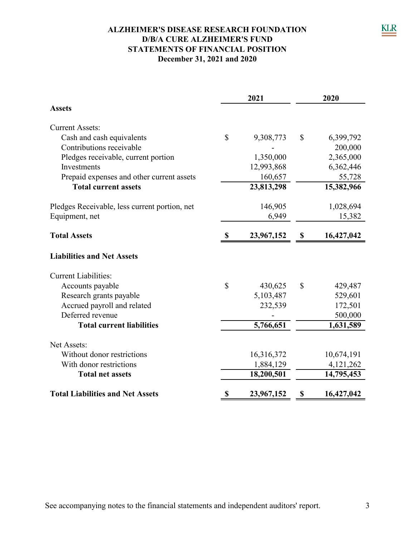## **ALZHEIMER'S DISEASE RESEARCH FOUNDATION STATEMENTS OF FINANCIAL POSITION December 31, 2021 and 2020 D/B/A CURE ALZHEIMER'S FUND**

|                                               |              | 2021       | 2020         |            |  |
|-----------------------------------------------|--------------|------------|--------------|------------|--|
| <b>Assets</b>                                 |              |            |              |            |  |
| <b>Current Assets:</b>                        |              |            |              |            |  |
| Cash and cash equivalents                     | $\mathbb{S}$ | 9,308,773  | $\mathbb{S}$ | 6,399,792  |  |
| Contributions receivable                      |              |            |              | 200,000    |  |
| Pledges receivable, current portion           |              | 1,350,000  |              | 2,365,000  |  |
| Investments                                   |              | 12,993,868 |              | 6,362,446  |  |
| Prepaid expenses and other current assets     |              | 160,657    |              | 55,728     |  |
| <b>Total current assets</b>                   |              | 23,813,298 |              | 15,382,966 |  |
| Pledges Receivable, less current portion, net |              | 146,905    |              | 1,028,694  |  |
| Equipment, net                                |              | 6,949      |              | 15,382     |  |
| <b>Total Assets</b>                           | \$           | 23,967,152 | \$           | 16,427,042 |  |
| <b>Liabilities and Net Assets</b>             |              |            |              |            |  |
| <b>Current Liabilities:</b>                   |              |            |              |            |  |
| Accounts payable                              | $\mathbb{S}$ | 430,625    | $\mathbb{S}$ | 429,487    |  |
| Research grants payable                       |              | 5,103,487  |              | 529,601    |  |
| Accrued payroll and related                   |              | 232,539    |              | 172,501    |  |
| Deferred revenue                              |              |            |              | 500,000    |  |
| <b>Total current liabilities</b>              |              | 5,766,651  |              | 1,631,589  |  |
| Net Assets:                                   |              |            |              |            |  |
| Without donor restrictions                    |              | 16,316,372 |              | 10,674,191 |  |
| With donor restrictions                       |              | 1,884,129  |              | 4,121,262  |  |
| <b>Total net assets</b>                       |              | 18,200,501 |              | 14,795,453 |  |
| <b>Total Liabilities and Net Assets</b>       | \$           | 23,967,152 | \$           | 16,427,042 |  |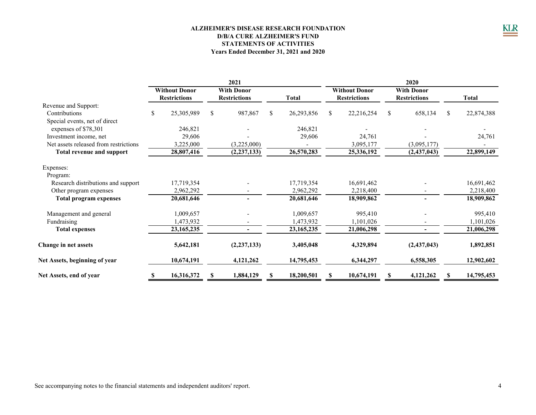#### **ALZHEIMER'S DISEASE RESEARCH FOUNDATION D/B/A CURE ALZHEIMER'S FUND STATEMENTS OF ACTIVITIES Years Ended December 31, 2021 and 2020**

|                                       | 2021 |                                             |    |                                          |    | 2020         |    |                                             |   |                                          |    |            |
|---------------------------------------|------|---------------------------------------------|----|------------------------------------------|----|--------------|----|---------------------------------------------|---|------------------------------------------|----|------------|
|                                       |      | <b>Without Donor</b><br><b>Restrictions</b> |    | <b>With Donor</b><br><b>Restrictions</b> |    | <b>Total</b> |    | <b>Without Donor</b><br><b>Restrictions</b> |   | <b>With Donor</b><br><b>Restrictions</b> |    | Total      |
| Revenue and Support:                  |      |                                             |    |                                          |    |              |    |                                             |   |                                          |    |            |
| Contributions                         | S.   | 25,305,989                                  | \$ | 987,867                                  | \$ | 26,293,856   | \$ | 22,216,254                                  | S | 658,134                                  | \$ | 22,874,388 |
| Special events, net of direct         |      |                                             |    |                                          |    |              |    |                                             |   |                                          |    |            |
| expenses of \$78,301                  |      | 246,821                                     |    |                                          |    | 246,821      |    |                                             |   |                                          |    |            |
| Investment income, net                |      | 29,606                                      |    |                                          |    | 29,606       |    | 24,761                                      |   |                                          |    | 24,761     |
| Net assets released from restrictions |      | 3,225,000                                   |    | (3,225,000)                              |    |              |    | 3,095,177                                   |   | (3,095,177)                              |    |            |
| <b>Total revenue and support</b>      |      | 28,807,416                                  |    | (2, 237, 133)                            |    | 26,570,283   |    | 25,336,192                                  |   | (2,437,043)                              |    | 22,899,149 |
| Expenses:                             |      |                                             |    |                                          |    |              |    |                                             |   |                                          |    |            |
| Program:                              |      |                                             |    |                                          |    |              |    |                                             |   |                                          |    |            |
| Research distributions and support    |      | 17,719,354                                  |    |                                          |    | 17,719,354   |    | 16,691,462                                  |   |                                          |    | 16,691,462 |
| Other program expenses                |      | 2,962,292                                   |    |                                          |    | 2,962,292    |    | 2,218,400                                   |   |                                          |    | 2,218,400  |
| <b>Total program expenses</b>         |      | 20,681,646                                  |    |                                          |    | 20,681,646   |    | 18,909,862                                  |   |                                          |    | 18,909,862 |
| Management and general                |      | 1,009,657                                   |    |                                          |    | 1,009,657    |    | 995,410                                     |   |                                          |    | 995,410    |
| Fundraising                           |      | 1,473,932                                   |    |                                          |    | 1,473,932    |    | 1,101,026                                   |   |                                          |    | 1,101,026  |
| <b>Total expenses</b>                 |      | 23, 165, 235                                |    | ۰.                                       |    | 23, 165, 235 |    | 21,006,298                                  |   | ۰                                        |    | 21,006,298 |
| Change in net assets                  |      | 5,642,181                                   |    | (2, 237, 133)                            |    | 3,405,048    |    | 4,329,894                                   |   | (2,437,043)                              |    | 1,892,851  |
| Net Assets, beginning of year         |      | 10,674,191                                  |    | 4,121,262                                |    | 14,795,453   |    | 6,344,297                                   |   | 6,558,305                                |    | 12,902,602 |
| Net Assets, end of year               | \$   | 16,316,372                                  | S  | 1,884,129                                | S  | 18,200,501   | S  | 10,674,191                                  | S | 4,121,262                                | S  | 14,795,453 |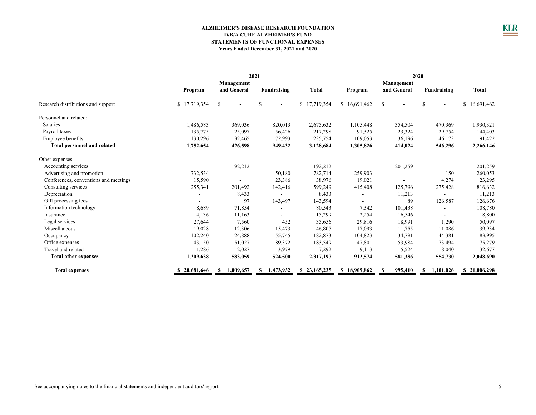#### **ALZHEIMER'S DISEASE RESEARCH FOUNDATION STATEMENTS OF FUNCTIONAL EXPENSES Years Ended December 31, 2021 and 2020 D/B/A CURE ALZHEIMER'S FUND**

|                                       | 2021         |                          |                 |              | 2020         |               |                |                  |
|---------------------------------------|--------------|--------------------------|-----------------|--------------|--------------|---------------|----------------|------------------|
|                                       |              | Management               |                 |              | Management   |               |                |                  |
|                                       | Program      | and General              | Fundraising     | <b>Total</b> | Program      | and General   | Fundraising    | Total            |
| Research distributions and support    | \$17,719,354 | \$                       | <sup>\$</sup>   | \$17,719,354 | \$16,691,462 | <sup>\$</sup> | S              | 16,691,462<br>\$ |
| Personnel and related:                |              |                          |                 |              |              |               |                |                  |
| <b>Salaries</b>                       | 1,486,583    | 369,036                  | 820,013         | 2,675,632    | 1,105,448    | 354,504       | 470,369        | 1,930,321        |
| Payroll taxes                         | 135,775      | 25,097                   | 56,426          | 217,298      | 91,325       | 23,324        | 29,754         | 144,403          |
| Employee benefits                     | 130,296      | 32,465                   | 72,993          | 235,754      | 109,053      | 36,196        | 46,173         | 191,422          |
| <b>Total personnel and related</b>    | 1,752,654    | 426,598                  | 949,432         | 3,128,684    | 1,305,826    | 414,024       | 546,296        | 2,266,146        |
| Other expenses:                       |              |                          |                 |              |              |               |                |                  |
| Accounting services                   |              | 192,212                  |                 | 192,212      |              | 201,259       |                | 201,259          |
| Advertising and promotion             | 732,534      |                          | 50,180          | 782,714      | 259,903      |               | 150            | 260,053          |
| Conferences, conventions and meetings | 15,590       | $\overline{\phantom{a}}$ | 23,386          | 38,976       | 19,021       |               | 4,274          | 23,295           |
| Consulting services                   | 255,341      | 201,492                  | 142,416         | 599,249      | 415,408      | 125,796       | 275,428        | 816,632          |
| Depreciation                          |              | 8,433                    |                 | 8,433        |              | 11,213        |                | 11,213           |
| Gift processing fees                  |              | 97                       | 143,497         | 143,594      |              | 89            | 126,587        | 126,676          |
| Information technology                | 8,689        | 71,854                   |                 | 80,543       | 7,342        | 101,438       | $\overline{a}$ | 108,780          |
| Insurance                             | 4,136        | 11,163                   |                 | 15,299       | 2,254        | 16,546        | ÷              | 18,800           |
| Legal services                        | 27,644       | 7,560                    | 452             | 35,656       | 29,816       | 18,991        | 1,290          | 50,097           |
| Miscellaneous                         | 19,028       | 12,306                   | 15,473          | 46,807       | 17,093       | 11,755        | 11,086         | 39,934           |
| Occupancy                             | 102,240      | 24,888                   | 55,745          | 182,873      | 104,823      | 34,791        | 44,381         | 183,995          |
| Office expenses                       | 43,150       | 51,027                   | 89,372          | 183,549      | 47,801       | 53,984        | 73,494         | 175,279          |
| Travel and related                    | 1,286        | 2,027                    | 3,979           | 7,292        | 9,113        | 5,524         | 18,040         | 32,677           |
| <b>Total other expenses</b>           | 1,209,638    | 583,059                  | 524,500         | 2,317,197    | 912,574      | 581,386       | 554,730        | 2,048,690        |
| <b>Total expenses</b>                 | 20,681,646   | 1,009,657<br>S           | 1,473,932<br>S. | \$23,165,235 | \$18,909,862 | 995,410       | 1.101.026      | \$21,006,298     |

 $\underline{\underline{\text{KLR}}}$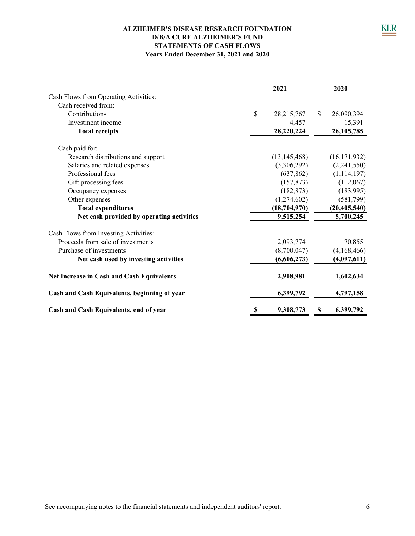### **ALZHEIMER'S DISEASE RESEARCH FOUNDATION D/B/A CURE ALZHEIMER'S FUND STATEMENTS OF CASH FLOWS Years Ended December 31, 2021 and 2020**

|                                                  | 2021 |                |               |                |
|--------------------------------------------------|------|----------------|---------------|----------------|
| Cash Flows from Operating Activities:            |      |                |               |                |
| Cash received from:                              |      |                |               |                |
| Contributions                                    | \$   | 28, 215, 767   | $\mathcal{S}$ | 26,090,394     |
| Investment income                                |      | 4,457          |               | 15,391         |
| <b>Total receipts</b>                            |      | 28,220,224     |               | 26, 105, 785   |
| Cash paid for:                                   |      |                |               |                |
| Research distributions and support               |      | (13, 145, 468) |               | (16, 171, 932) |
| Salaries and related expenses                    |      | (3,306,292)    |               | (2,241,550)    |
| Professional fees                                |      | (637, 862)     |               | (1, 114, 197)  |
| Gift processing fees                             |      | (157, 873)     |               | (112,067)      |
| Occupancy expenses                               |      | (182, 873)     |               | (183,995)      |
| Other expenses                                   |      | (1,274,602)    |               | (581,799)      |
| <b>Total expenditures</b>                        |      | (18, 704, 970) |               | (20, 405, 540) |
| Net cash provided by operating activities        |      | 9,515,254      |               | 5,700,245      |
| Cash Flows from Investing Activities:            |      |                |               |                |
| Proceeds from sale of investments                |      | 2,093,774      |               | 70,855         |
| Purchase of investments                          |      | (8,700,047)    |               | (4,168,466)    |
| Net cash used by investing activities            |      | (6,606,273)    |               | (4,097,611)    |
| <b>Net Increase in Cash and Cash Equivalents</b> |      | 2,908,981      |               | 1,602,634      |
| Cash and Cash Equivalents, beginning of year     |      | 6,399,792      |               | 4,797,158      |
| Cash and Cash Equivalents, end of year           | S    | 9,308,773      | S             | 6,399,792      |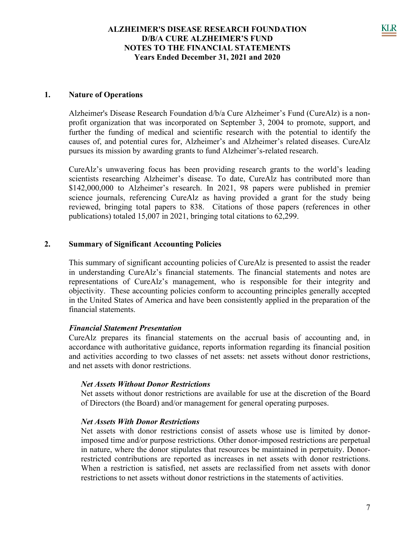### **1. Nature of Operations**

Alzheimer's Disease Research Foundation d/b/a Cure Alzheimer's Fund (CureAlz) is a nonprofit organization that was incorporated on September 3, 2004 to promote, support, and further the funding of medical and scientific research with the potential to identify the causes of, and potential cures for, Alzheimer's and Alzheimer's related diseases. CureAlz pursues its mission by awarding grants to fund Alzheimer's-related research.

CureAlz's unwavering focus has been providing research grants to the world's leading scientists researching Alzheimer's disease. To date, CureAlz has contributed more than \$142,000,000 to Alzheimer's research. In 2021, 98 papers were published in premier science journals, referencing CureAlz as having provided a grant for the study being reviewed, bringing total papers to 838. Citations of those papers (references in other publications) totaled 15,007 in 2021, bringing total citations to 62,299.

#### **2. Summary of Significant Accounting Policies**

This summary of significant accounting policies of CureAlz is presented to assist the reader in understanding CureAlz's financial statements. The financial statements and notes are representations of CureAlz's management, who is responsible for their integrity and objectivity. These accounting policies conform to accounting principles generally accepted in the United States of America and have been consistently applied in the preparation of the financial statements.

### *Financial Statement Presentation*

CureAlz prepares its financial statements on the accrual basis of accounting and, in accordance with authoritative guidance, reports information regarding its financial position and activities according to two classes of net assets: net assets without donor restrictions, and net assets with donor restrictions.

#### *Net Assets Without Donor Restrictions*

Net assets without donor restrictions are available for use at the discretion of the Board of Directors (the Board) and/or management for general operating purposes.

#### *Net Assets With Donor Restrictions*

Net assets with donor restrictions consist of assets whose use is limited by donorimposed time and/or purpose restrictions. Other donor-imposed restrictions are perpetual in nature, where the donor stipulates that resources be maintained in perpetuity. Donorrestricted contributions are reported as increases in net assets with donor restrictions. When a restriction is satisfied, net assets are reclassified from net assets with donor restrictions to net assets without donor restrictions in the statements of activities.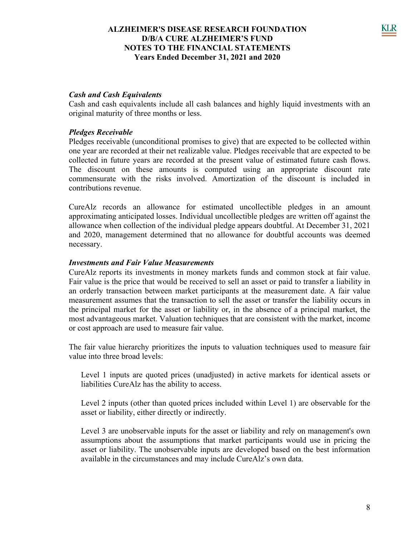### *Cash and Cash Equivalents*

Cash and cash equivalents include all cash balances and highly liquid investments with an original maturity of three months or less.

### *Pledges Receivable*

Pledges receivable (unconditional promises to give) that are expected to be collected within one year are recorded at their net realizable value. Pledges receivable that are expected to be collected in future years are recorded at the present value of estimated future cash flows. The discount on these amounts is computed using an appropriate discount rate commensurate with the risks involved. Amortization of the discount is included in contributions revenue.

CureAlz records an allowance for estimated uncollectible pledges in an amount approximating anticipated losses. Individual uncollectible pledges are written off against the allowance when collection of the individual pledge appears doubtful. At December 31, 2021 and 2020, management determined that no allowance for doubtful accounts was deemed necessary.

#### *Investments and Fair Value Measurements*

CureAlz reports its investments in money markets funds and common stock at fair value. Fair value is the price that would be received to sell an asset or paid to transfer a liability in an orderly transaction between market participants at the measurement date. A fair value measurement assumes that the transaction to sell the asset or transfer the liability occurs in the principal market for the asset or liability or, in the absence of a principal market, the most advantageous market. Valuation techniques that are consistent with the market, income or cost approach are used to measure fair value.

The fair value hierarchy prioritizes the inputs to valuation techniques used to measure fair value into three broad levels:

Level 1 inputs are quoted prices (unadjusted) in active markets for identical assets or liabilities CureAlz has the ability to access.

Level 2 inputs (other than quoted prices included within Level 1) are observable for the asset or liability, either directly or indirectly.

Level 3 are unobservable inputs for the asset or liability and rely on management's own assumptions about the assumptions that market participants would use in pricing the asset or liability. The unobservable inputs are developed based on the best information available in the circumstances and may include CureAlz's own data.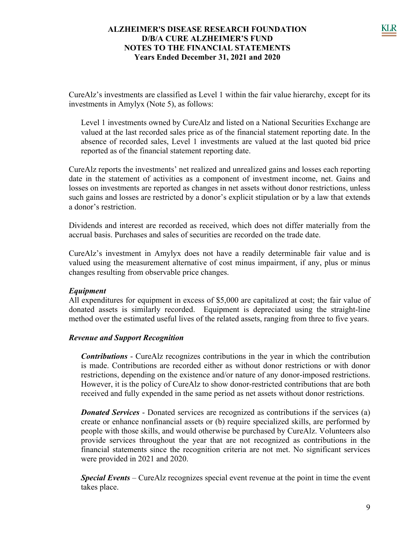CureAlz's investments are classified as Level 1 within the fair value hierarchy, except for its investments in Amylyx (Note 5), as follows:

Level 1 investments owned by CureAlz and listed on a National Securities Exchange are valued at the last recorded sales price as of the financial statement reporting date. In the absence of recorded sales, Level 1 investments are valued at the last quoted bid price reported as of the financial statement reporting date.

CureAlz reports the investments' net realized and unrealized gains and losses each reporting date in the statement of activities as a component of investment income, net. Gains and losses on investments are reported as changes in net assets without donor restrictions, unless such gains and losses are restricted by a donor's explicit stipulation or by a law that extends a donor's restriction.

Dividends and interest are recorded as received, which does not differ materially from the accrual basis. Purchases and sales of securities are recorded on the trade date.

CureAlz's investment in Amylyx does not have a readily determinable fair value and is valued using the measurement alternative of cost minus impairment, if any, plus or minus changes resulting from observable price changes.

### *Equipment*

All expenditures for equipment in excess of \$5,000 are capitalized at cost; the fair value of donated assets is similarly recorded. Equipment is depreciated using the straight-line method over the estimated useful lives of the related assets, ranging from three to five years.

### *Revenue and Support Recognition*

*Contributions* - CureAlz recognizes contributions in the year in which the contribution is made. Contributions are recorded either as without donor restrictions or with donor restrictions, depending on the existence and/or nature of any donor-imposed restrictions. However, it is the policy of CureAlz to show donor-restricted contributions that are both received and fully expended in the same period as net assets without donor restrictions.

*Donated Services* - Donated services are recognized as contributions if the services (a) create or enhance nonfinancial assets or (b) require specialized skills, are performed by people with those skills, and would otherwise be purchased by CureAlz. Volunteers also provide services throughout the year that are not recognized as contributions in the financial statements since the recognition criteria are not met. No significant services were provided in 2021 and 2020.

*Special Events* – CureAlz recognizes special event revenue at the point in time the event takes place.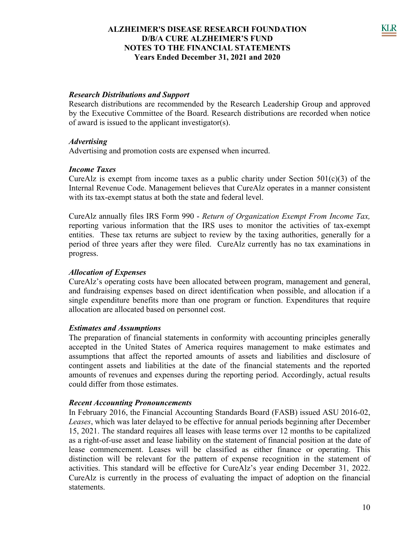### *Research Distributions and Support*

Research distributions are recommended by the Research Leadership Group and approved by the Executive Committee of the Board. Research distributions are recorded when notice of award is issued to the applicant investigator(s).

#### *Advertising*

Advertising and promotion costs are expensed when incurred.

#### *Income Taxes*

CureAlz is exempt from income taxes as a public charity under Section  $501(c)(3)$  of the Internal Revenue Code. Management believes that CureAlz operates in a manner consistent with its tax-exempt status at both the state and federal level.

CureAlz annually files IRS Form 990 - *Return of Organization Exempt From Income Tax,* reporting various information that the IRS uses to monitor the activities of tax-exempt entities. These tax returns are subject to review by the taxing authorities, generally for a period of three years after they were filed. CureAlz currently has no tax examinations in progress.

### *Allocation of Expenses*

CureAlz's operating costs have been allocated between program, management and general, and fundraising expenses based on direct identification when possible, and allocation if a single expenditure benefits more than one program or function. Expenditures that require allocation are allocated based on personnel cost.

#### *Estimates and Assumptions*

The preparation of financial statements in conformity with accounting principles generally accepted in the United States of America requires management to make estimates and assumptions that affect the reported amounts of assets and liabilities and disclosure of contingent assets and liabilities at the date of the financial statements and the reported amounts of revenues and expenses during the reporting period. Accordingly, actual results could differ from those estimates.

#### *Recent Accounting Pronouncements*

In February 2016, the Financial Accounting Standards Board (FASB) issued ASU 2016-02, *Leases*, which was later delayed to be effective for annual periods beginning after December 15, 2021. The standard requires all leases with lease terms over 12 months to be capitalized as a right-of-use asset and lease liability on the statement of financial position at the date of lease commencement. Leases will be classified as either finance or operating. This distinction will be relevant for the pattern of expense recognition in the statement of activities. This standard will be effective for CureAlz's year ending December 31, 2022. CureAlz is currently in the process of evaluating the impact of adoption on the financial statements.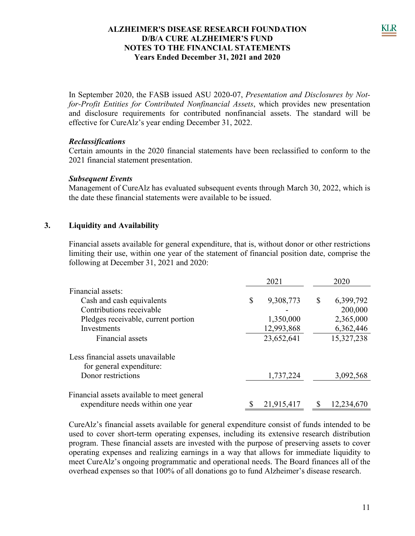In September 2020, the FASB issued ASU 2020-07, *Presentation and Disclosures by Notfor-Profit Entities for Contributed Nonfinancial Assets*, which provides new presentation and disclosure requirements for contributed nonfinancial assets. The standard will be effective for CureAlz's year ending December 31, 2022.

### *Reclassifications*

Certain amounts in the 2020 financial statements have been reclassified to conform to the 2021 financial statement presentation.

### *Subsequent Events*

Management of CureAlz has evaluated subsequent events through March 30, 2022, which is the date these financial statements were available to be issued.

### **3. Liquidity and Availability**

Financial assets available for general expenditure, that is, without donor or other restrictions limiting their use, within one year of the statement of financial position date, comprise the following at December 31, 2021 and 2020:

|                                            | 2021            | 2020 |            |  |
|--------------------------------------------|-----------------|------|------------|--|
| Financial assets:                          |                 |      |            |  |
| Cash and cash equivalents                  | \$<br>9,308,773 | \$   | 6,399,792  |  |
| Contributions receivable                   |                 |      | 200,000    |  |
| Pledges receivable, current portion        | 1,350,000       |      | 2,365,000  |  |
| Investments                                | 12,993,868      |      | 6,362,446  |  |
| Financial assets                           | 23,652,641      |      | 15,327,238 |  |
| Less financial assets unavailable          |                 |      |            |  |
| for general expenditure:                   |                 |      |            |  |
| Donor restrictions                         | 1,737,224       |      | 3,092,568  |  |
| Financial assets available to meet general |                 |      |            |  |
| expenditure needs within one year          | 21,915,417      | \$   | 12,234,670 |  |

CureAlz's financial assets available for general expenditure consist of funds intended to be used to cover short-term operating expenses, including its extensive research distribution program. These financial assets are invested with the purpose of preserving assets to cover operating expenses and realizing earnings in a way that allows for immediate liquidity to meet CureAlz's ongoing programmatic and operational needs. The Board finances all of the overhead expenses so that 100% of all donations go to fund Alzheimer's disease research.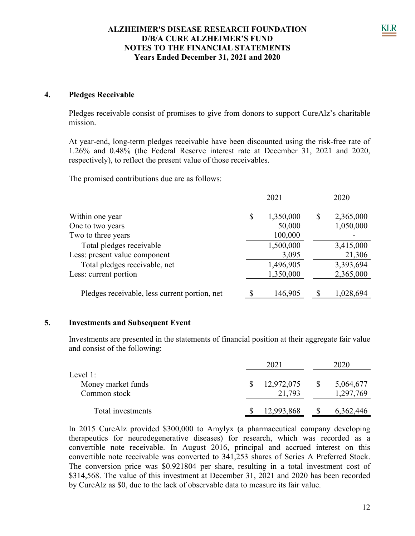### **4. Pledges Receivable**

Pledges receivable consist of promises to give from donors to support CureAlz's charitable mission.

At year-end, long-term pledges receivable have been discounted using the risk-free rate of 1.26% and 0.48% (the Federal Reserve interest rate at December 31, 2021 and 2020, respectively), to reflect the present value of those receivables.

The promised contributions due are as follows:

|                                               | 2021            | 2020 |           |  |
|-----------------------------------------------|-----------------|------|-----------|--|
| Within one year                               | \$<br>1,350,000 | \$   | 2,365,000 |  |
| One to two years                              | 50,000          |      | 1,050,000 |  |
| Two to three years                            | 100,000         |      |           |  |
| Total pledges receivable                      | 1,500,000       |      | 3,415,000 |  |
| Less: present value component                 | 3,095           |      | 21,306    |  |
| Total pledges receivable, net                 | 1,496,905       |      | 3,393,694 |  |
| Less: current portion                         | 1,350,000       |      | 2,365,000 |  |
|                                               |                 |      |           |  |
| Pledges receivable, less current portion, net | 146,905         |      | 1,028,694 |  |

### **5. Investments and Subsequent Event**

Investments are presented in the statements of financial position at their aggregate fair value and consist of the following:

|                                | 2021 |            |    | 2020      |
|--------------------------------|------|------------|----|-----------|
| Level 1:<br>Money market funds |      | 12,972,075 | -S | 5,064,677 |
| Common stock                   |      | 21,793     |    | 1,297,769 |
| Total investments              |      | 12,993,868 |    | 6,362,446 |

In 2015 CureAlz provided \$300,000 to Amylyx (a pharmaceutical company developing therapeutics for neurodegenerative diseases) for research, which was recorded as a convertible note receivable. In August 2016, principal and accrued interest on this convertible note receivable was converted to 341,253 shares of Series A Preferred Stock. The conversion price was \$0.921804 per share, resulting in a total investment cost of \$314,568. The value of this investment at December 31, 2021 and 2020 has been recorded by CureAlz as \$0, due to the lack of observable data to measure its fair value.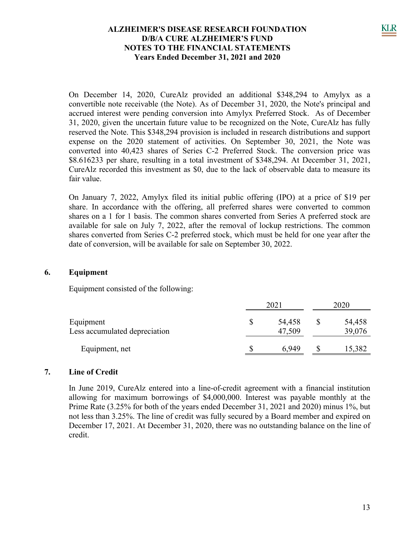On December 14, 2020, CureAlz provided an additional \$348,294 to Amylyx as a convertible note receivable (the Note). As of December 31, 2020, the Note's principal and accrued interest were pending conversion into Amylyx Preferred Stock. As of December 31, 2020, given the uncertain future value to be recognized on the Note, CureAlz has fully reserved the Note. This \$348,294 provision is included in research distributions and support expense on the 2020 statement of activities. On September 30, 2021, the Note was converted into 40,423 shares of Series C-2 Preferred Stock. The conversion price was \$8.616233 per share, resulting in a total investment of \$348,294. At December 31, 2021, CureAlz recorded this investment as \$0, due to the lack of observable data to measure its fair value.

On January 7, 2022, Amylyx filed its initial public offering (IPO) at a price of \$19 per share. In accordance with the offering, all preferred shares were converted to common shares on a 1 for 1 basis. The common shares converted from Series A preferred stock are available for sale on July 7, 2022, after the removal of lockup restrictions. The common shares converted from Series C-2 preferred stock, which must be held for one year after the date of conversion, will be available for sale on September 30, 2022.

### **6. Equipment**

Equipment consisted of the following:

|                                            | 202 <sub>1</sub> | 2020             |  |                  |
|--------------------------------------------|------------------|------------------|--|------------------|
| Equipment<br>Less accumulated depreciation |                  | 54,458<br>47,509 |  | 54,458<br>39,076 |
| Equipment, net                             |                  | 6,949            |  | 15,382           |

### **7. Line of Credit**

In June 2019, CureAlz entered into a line-of-credit agreement with a financial institution allowing for maximum borrowings of \$4,000,000. Interest was payable monthly at the Prime Rate (3.25% for both of the years ended December 31, 2021 and 2020) minus 1%, but not less than 3.25%. The line of credit was fully secured by a Board member and expired on December 17, 2021. At December 31, 2020, there was no outstanding balance on the line of credit.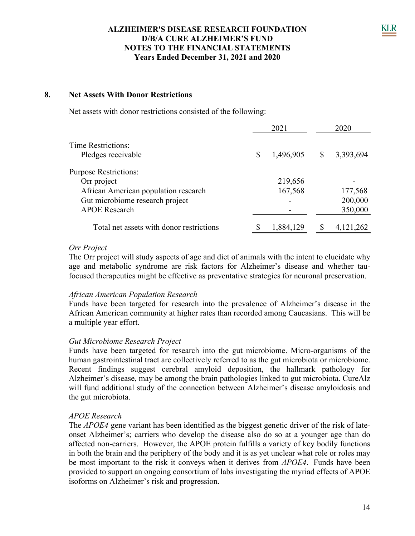### **8. Net Assets With Donor Restrictions**

Net assets with donor restrictions consisted of the following:

| 1,496,905 | \$<br>3,393,694 |
|-----------|-----------------|
|           |                 |
| 219,656   |                 |
| 167,568   | 177,568         |
|           | 200,000         |
|           | 350,000         |
| 1,884,129 | 4,121,262       |
|           |                 |

#### *Orr Project*

The Orr project will study aspects of age and diet of animals with the intent to elucidate why age and metabolic syndrome are risk factors for Alzheimer's disease and whether taufocused therapeutics might be effective as preventative strategies for neuronal preservation.

#### *African American Population Research*

Funds have been targeted for research into the prevalence of Alzheimer's disease in the African American community at higher rates than recorded among Caucasians. This will be a multiple year effort.

#### *Gut Microbiome Research Project*

Funds have been targeted for research into the gut microbiome. Micro-organisms of the human gastrointestinal tract are collectively referred to as the gut microbiota or microbiome. Recent findings suggest cerebral amyloid deposition, the hallmark pathology for Alzheimer's disease, may be among the brain pathologies linked to gut microbiota. CureAlz will fund additional study of the connection between Alzheimer's disease amyloidosis and the gut microbiota.

### *APOE Research*

The *APOE4* gene variant has been identified as the biggest genetic driver of the risk of lateonset Alzheimer's; carriers who develop the disease also do so at a younger age than do affected non-carriers. However, the APOE protein fulfills a variety of key bodily functions in both the brain and the periphery of the body and it is as yet unclear what role or roles may be most important to the risk it conveys when it derives from *APOE4*. Funds have been provided to support an ongoing consortium of labs investigating the myriad effects of APOE isoforms on Alzheimer's risk and progression.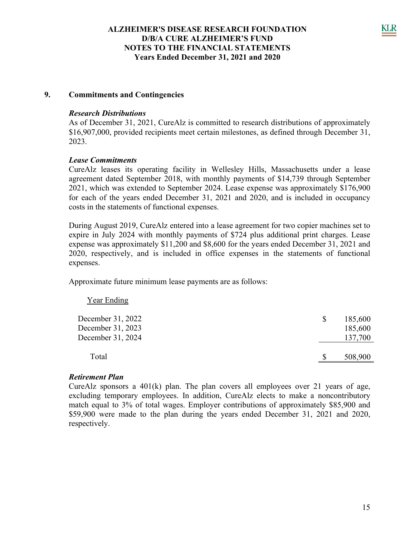### **9. Commitments and Contingencies**

### *Research Distributions*

As of December 31, 2021, CureAlz is committed to research distributions of approximately \$16,907,000, provided recipients meet certain milestones, as defined through December 31, 2023.

#### *Lease Commitments*

CureAlz leases its operating facility in Wellesley Hills, Massachusetts under a lease agreement dated September 2018, with monthly payments of \$14,739 through September 2021, which was extended to September 2024. Lease expense was approximately \$176,900 for each of the years ended December 31, 2021 and 2020, and is included in occupancy costs in the statements of functional expenses.

During August 2019, CureAlz entered into a lease agreement for two copier machines set to expire in July 2024 with monthly payments of \$724 plus additional print charges. Lease expense was approximately \$11,200 and \$8,600 for the years ended December 31, 2021 and 2020, respectively, and is included in office expenses in the statements of functional expenses.

Approximate future minimum lease payments are as follows:

| <b>Year Ending</b>                                          |    |                               |
|-------------------------------------------------------------|----|-------------------------------|
| December 31, 2022<br>December 31, 2023<br>December 31, 2024 | \$ | 185,600<br>185,600<br>137,700 |
| Total                                                       |    | 508,900                       |

### *Retirement Plan*

CureAlz sponsors a  $401(k)$  plan. The plan covers all employees over 21 years of age, excluding temporary employees. In addition, CureAlz elects to make a noncontributory match equal to 3% of total wages. Employer contributions of approximately \$85,900 and \$59,900 were made to the plan during the years ended December 31, 2021 and 2020, respectively.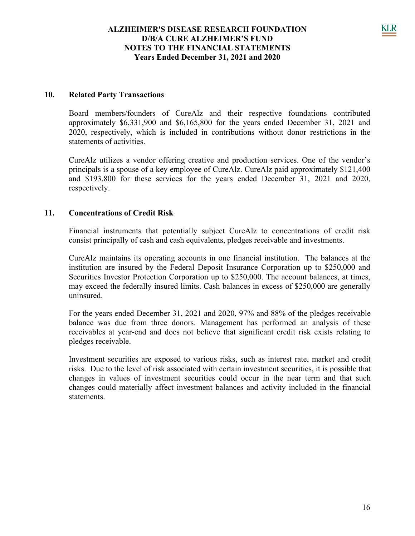#### **10. Related Party Transactions**

Board members/founders of CureAlz and their respective foundations contributed approximately \$6,331,900 and \$6,165,800 for the years ended December 31, 2021 and 2020, respectively, which is included in contributions without donor restrictions in the statements of activities.

CureAlz utilizes a vendor offering creative and production services. One of the vendor's principals is a spouse of a key employee of CureAlz. CureAlz paid approximately \$121,400 and \$193,800 for these services for the years ended December 31, 2021 and 2020, respectively.

#### **11. Concentrations of Credit Risk**

Financial instruments that potentially subject CureAlz to concentrations of credit risk consist principally of cash and cash equivalents, pledges receivable and investments.

CureAlz maintains its operating accounts in one financial institution. The balances at the institution are insured by the Federal Deposit Insurance Corporation up to \$250,000 and Securities Investor Protection Corporation up to \$250,000. The account balances, at times, may exceed the federally insured limits. Cash balances in excess of \$250,000 are generally uninsured.

For the years ended December 31, 2021 and 2020, 97% and 88% of the pledges receivable balance was due from three donors. Management has performed an analysis of these receivables at year-end and does not believe that significant credit risk exists relating to pledges receivable.

Investment securities are exposed to various risks, such as interest rate, market and credit risks. Due to the level of risk associated with certain investment securities, it is possible that changes in values of investment securities could occur in the near term and that such changes could materially affect investment balances and activity included in the financial statements.